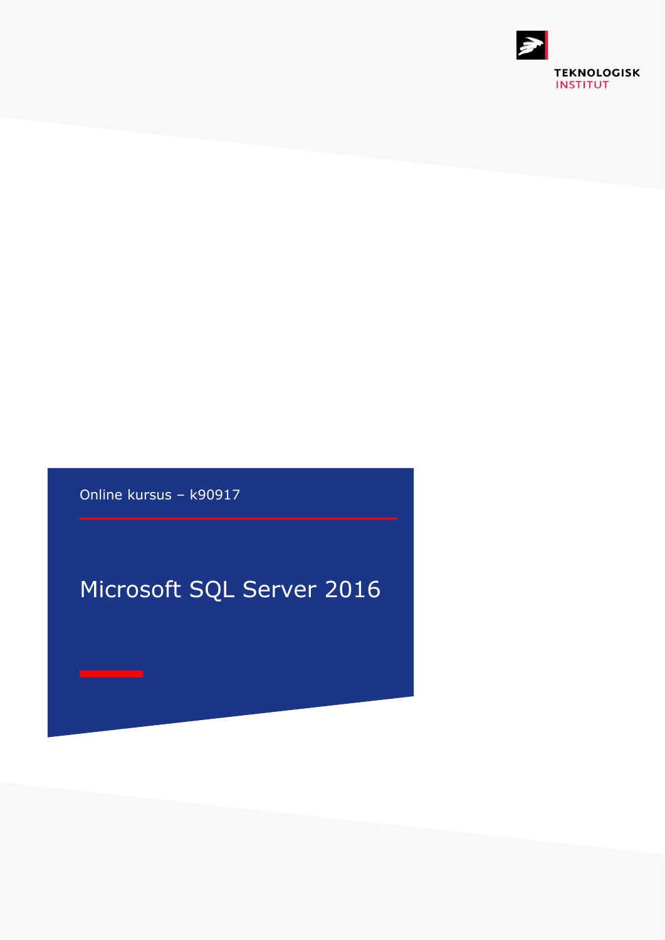

Online kursus – k90917

## Microsoft SQL Server 2016